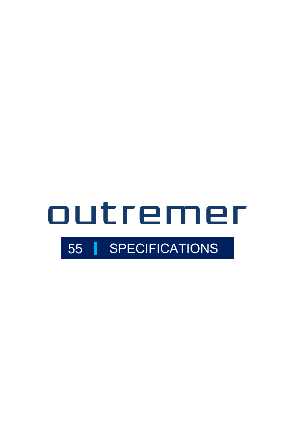# outremer 55 SPECIFICATIONS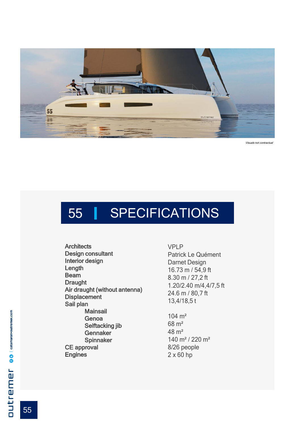

Visuals not contractual

# 55 | SPECIFICATIONS

**Architects** Design consultant Interior design Length **Beam Draught** Air draught (without antenna) **Displacement** Sail plan **Mainsail** Genoa Selftacking jib **Gennaker Spinnaker** CE approval Engines

VPLP Patrick Le Quément Darnet Design 16.73 m / 54,9 ft 8.30 m / 27,2 ft 1.20/2.40 m/4,4/7,5 ft 24.6 m / 80,7 ft 13,4/18,5 t

104 m² 68 m² 48 m² 140 m² / 220 m² 8/26 people 2 x 60 hp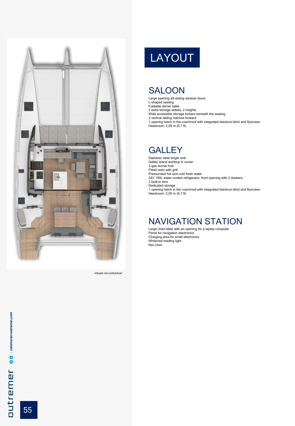

Visuals not contractual

# LAYOUT

## SALOON

Large opening aft sliding window doors L-shaped seating Foldable dinner table

- 
- 
- 2 extra storage setees, 2 heights Wide accessible storage lockers beneath the seating 2 vertical sliding hatches forward

1 opening hatch in the coachroof with integrated blackout blind and flyscreen Headroom: 2,05 m (6,7 ft)

## **GALLEY**

Stainless steel single sink Galley island worktop in corian 3-gas burner hob Fitted oven with grill Pressurized hot and cold fresh water 24V 190L water-cooled refrigerator, front opening with 2 drawers. 2 built-in bins Dedicated storage 1 opening hatch in the coachroof with integrated blackout blind and flyscreen Headroom: 2,05 m (6,7 ft)

## NAVIGATION STATION

Large chart table with an opening for a laptop computer Panel for navigation electronics Charging area for small electronics White/red reading light Nav chair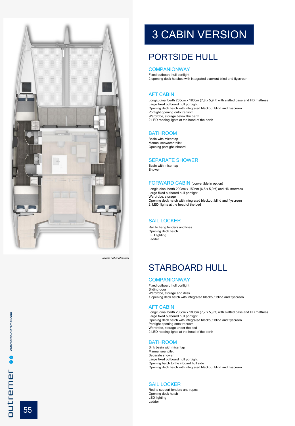

Visuals not contractual

# 3 CABIN VERSION

## PORTSIDE HULL

#### **COMPANIONWAY**

Fixed outboard hull portlight 2 opening deck hatches with integrated blackout blind and flyscreen

#### AFT CABIN

Longitudinal berth 200cm x 180cm (7,8 x 5,9 ft) with slatted base and HD mattress Large fixed outboard hull portlight Opening deck hatch with integrated blackout blind and flyscreen Portlight opening onto transom Wardrobe, storage below the berth 2 LED reading lights at the head of the berth

#### BATHROOM

Basin with mixer tap Manual seawater toilet Opening portlight inboard

#### SEPARATE SHOWER

Basin with mixer tap Shower

#### FORWARD CABIN (convertible in option)

Longitudinal berth 200cm x 150cm (6,5 x 5,9 ft) and HD mattress Large fixed outboard hull portlight Wardrobe, storage Opening deck hatch with integrated blackout blind and flyscreen 2 LED lights at the head of the bed

#### SAIL LOCKER

Rail to hang fenders and lines Opening deck hatch LED lighting Ladder

## STARBOARD HULL

#### **COMPANIONWAY**

Fixed outboard hull portlight Sliding door Wardrobe, storage and desk 1 opening deck hatch with integrated blackout blind and flyscreen

#### AFT CABIN

Longitudinal berth 200cm x 180cm (7,7 x 5,9 ft) with slatted base and HD mattress Large fixed outboard hull portlight Opening deck hatch with integrated blackout blind and flyscreen Portlight opening onto transom Wardrobe, storage under the bed 2 LED reading lights at the head of the berth

#### BATHROOM

Sink basin with mixer tap Manual sea toilet Separate shower Large fixed outboard hull portlight Opening hatch to the inboard hull side Opening deck hatch with integrated blackout blind and flyscreen

#### SAIL LOCKER

Rod to support fenders and ropes Opening deck hatch LED lighting Ladder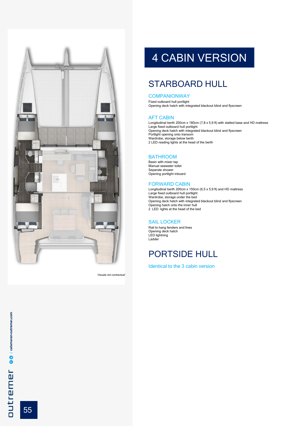

# 

## 4 CABIN VERSION

## STARBOARD HULL

#### **COMPANIONWAY**

Fixed outboard hull portlight Opening deck hatch with integrated blackout blind and flyscreen

#### AFT CABIN

Longitudinal berth 200cm x 180cm (7,8 x 5,9 ft) with slatted base and HD mattress Large fixed outboard hull portlight Opening deck hatch with integrated blackout blind and flyscreen Portlight opening onto transom Wardrobe, storage below berth 2 LED reading lights at the head of the berth

#### BATHROOM

Basin with mixer tap Manual seawater toilet Separate shower Opening portlight inboard

#### FORWARD CABIN

Longitudinal berth 200cm x 150cm (6,5 x 5,9 ft) and HD mattress Large fixed outboard hull portlight Wardrobe, storage under the bed Opening deck hatch with integrated blackout blind and flyscreen Opening hatch onto the inner hull 2 LED lights at the head of the bed

#### SAIL LOCKER

Rail to hang fenders and lines Opening deck hatch LED lightning Ladder

## PORTSIDE HULL

Identical to the 3 cabin version

55